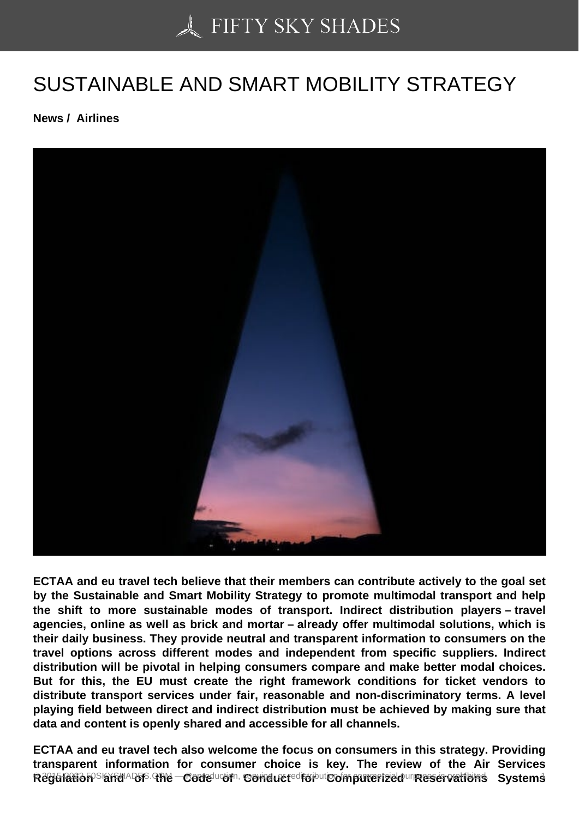## [SUSTAINABLE AND S](https://50skyshades.com)MART MOBILITY STRATEGY

News / Airlines

ECTAA and eu travel tech believe that their members can contribute actively to the goal set by the Sustainable and Smart Mobility Strategy to promote multimodal transport and help the shift to more sustainable modes of transport. Indirect distribution players – travel agencies, online as well as brick and mortar – already offer multimodal solutions, which is their daily business. They provide neutral and transparent information to consumers on the travel options across different modes and independent from specific suppliers. Indirect distribution will be pivotal in helping consumers compare and make better modal choices. But for this, the EU must create the right framework conditions for ticket vendors to distribute transport services under fair, reasonable and non-discriminatory terms. A level playing field between direct and indirect distribution must be achieved by making sure that data and content is openly shared and accessible for all channels.

ECTAA and eu travel tech also welcome the focus on consumers in this strategy. Providing transparent information for consumer choice is key. The review of the Air Services Regulation Computering Computering Computer of Conductions Computerized Reservations Number of Lands And Alexander